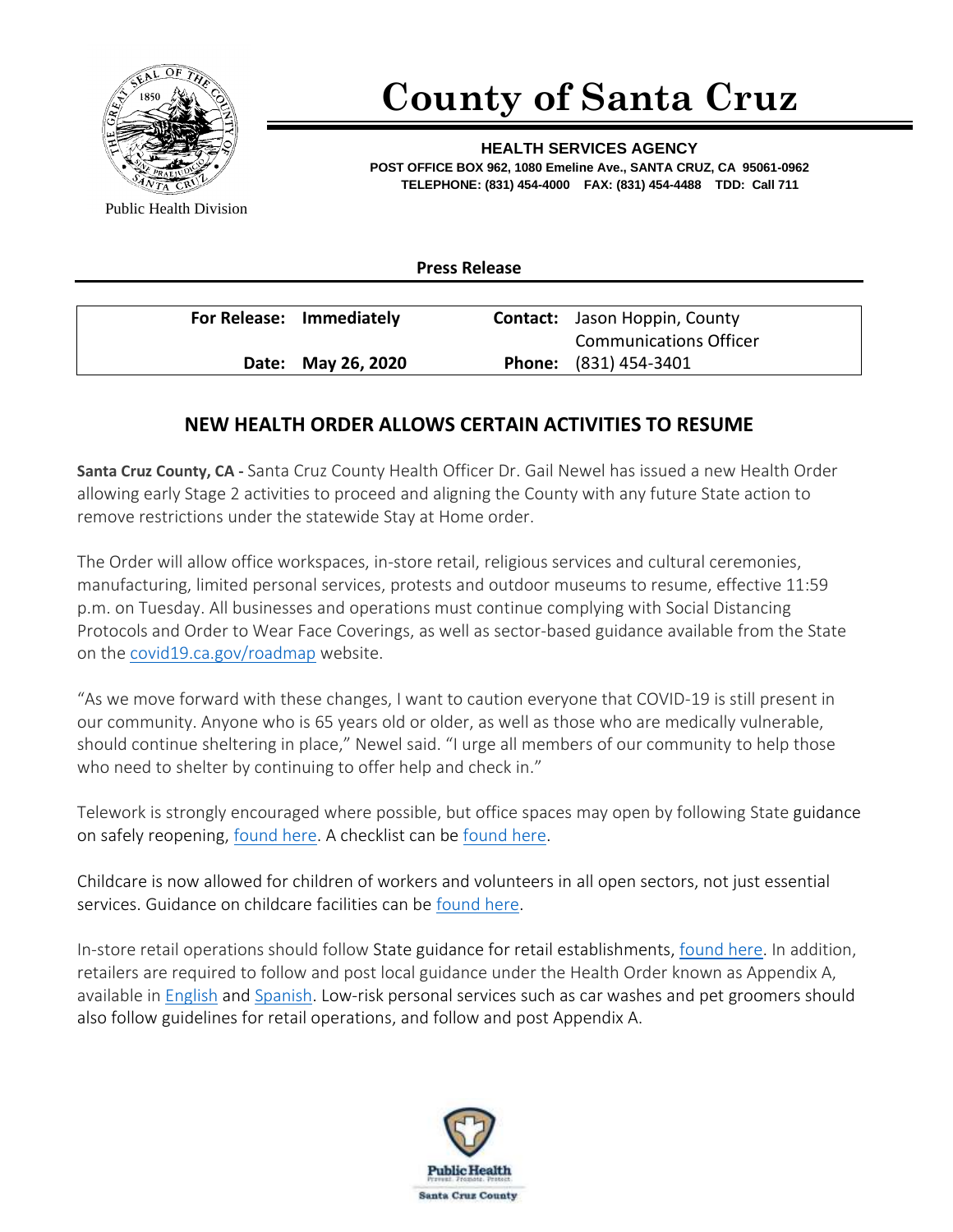

## **County of Santa Cruz**

**HEALTH SERVICES AGENCY POST OFFICE BOX 962, 1080 Emeline Ave., SANTA CRUZ, CA 95061-0962 TELEPHONE: (831) 454-4000 FAX: (831) 454-4488 TDD: Call 711**

Public Health Division

**Press Release**

| For Release: Immediately | <b>Contact:</b> Jason Hoppin, County |
|--------------------------|--------------------------------------|
|                          | <b>Communications Officer</b>        |
| Date: May 26, 2020       | <b>Phone:</b> (831) 454-3401         |

## **NEW HEALTH ORDER ALLOWS CERTAIN ACTIVITIES TO RESUME**

**Santa Cruz County, CA -** Santa Cruz County Health Officer Dr. Gail Newel has issued a new Health Order allowing early Stage 2 activities to proceed and aligning the County with any future State action to remove restrictions under the statewide Stay at Home order.

The Order will allow office workspaces, in-store retail, religious services and cultural ceremonies, manufacturing, limited personal services, protests and outdoor museums to resume, effective 11:59 p.m. on Tuesday. All businesses and operations must continue complying with Social Distancing Protocols and Order to Wear Face Coverings, as well as sector-based guidance available from the State on the [covid19.ca.gov/roadmap](https://covid19.ca.gov/roadmap/) website.

"As we move forward with these changes, I want to caution everyone that COVID-19 is still present in our community. Anyone who is 65 years old or older, as well as those who are medically vulnerable, should continue sheltering in place," Newel said. "I urge all members of our community to help those who need to shelter by continuing to offer help and check in."

Telework is strongly encouraged where possible, but office spaces may open by following State guidance on safely reopening, [found here.](http://covid19.ca.gov/pdf/guidance-office-workspaces.pdf) A checklist can be [found here.](https://covid19.ca.gov/pdf/checklist-office-workspaces.pdf)

Childcare is now allowed for children of workers and volunteers in all open sectors, not just essential services. Guidance on childcare facilities can be [found here.](https://www.cdss.ca.gov/Portals/9/CCLD/PINs/2020/CCP/PIN_20-06-CCP.pdf)

In-store retail operations should follow State guidance for retail establishments, [found here.](https://covid19.ca.gov/pdf/guidance-retail.pdf) In addition, retailers are required to follow and post local guidance under the Health Order known as Appendix A, available in [English](https://www.santacruzhealth.org/Portals/7/Pdfs/Coronavirus/Appendix-A-Social-Distancing-Protocol%20March%2031%202020%20FINAL.pdf) an[d Spanish.](https://www.santacruzhealth.org/Portals/7/Pdfs/Coronavirus/Appendix%20A%20-%20Social%20Distancing%20Protocol%20-%20Spanish%20%281%29.pdf) Low-risk personal services such as car washes and pet groomers should also follow guidelines for retail operations, and follow and post Appendix A.